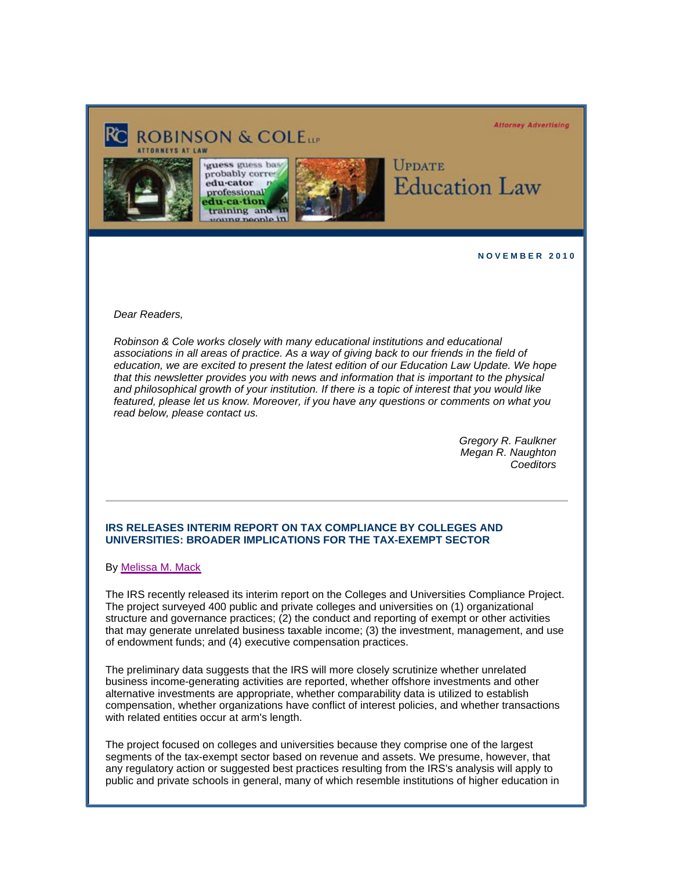#### **Attorney Advertising**





guess guess bas probably correedu-cator n professional du-ca-tion training and oung people in



# **UPDATE Education Law**

**N O V E M B E R 2 0 1 0** 

*Dear Readers,* 

*Robinson & Cole works closely with many educational institutions and educational associations in all areas of practice. As a way of giving back to our friends in the field of education, we are excited to present the latest edition of our Education Law Update. We hope that this newsletter provides you with news and information that is important to the physical and philosophical growth of your institution. If there is a topic of interest that you would like featured, please let us know. Moreover, if you have any questions or comments on what you read below, please contact us.* 

> *Gregory R. Faulkner Megan R. Naughton Coeditors*

## **IRS RELEASES INTERIM REPORT ON TAX COMPLIANCE BY COLLEGES AND UNIVERSITIES: BROADER IMPLICATIONS FOR THE TAX-EXEMPT SECTOR**

By Melissa M. Mack

The IRS recently released its interim report on the Colleges and Universities Compliance Project. The project surveyed 400 public and private colleges and universities on (1) organizational structure and governance practices; (2) the conduct and reporting of exempt or other activities that may generate unrelated business taxable income; (3) the investment, management, and use of endowment funds; and (4) executive compensation practices.

The preliminary data suggests that the IRS will more closely scrutinize whether unrelated business income-generating activities are reported, whether offshore investments and other alternative investments are appropriate, whether comparability data is utilized to establish compensation, whether organizations have conflict of interest policies, and whether transactions with related entities occur at arm's length.

The project focused on colleges and universities because they comprise one of the largest segments of the tax-exempt sector based on revenue and assets. We presume, however, that any regulatory action or suggested best practices resulting from the IRS's analysis will apply to public and private schools in general, many of which resemble institutions of higher education in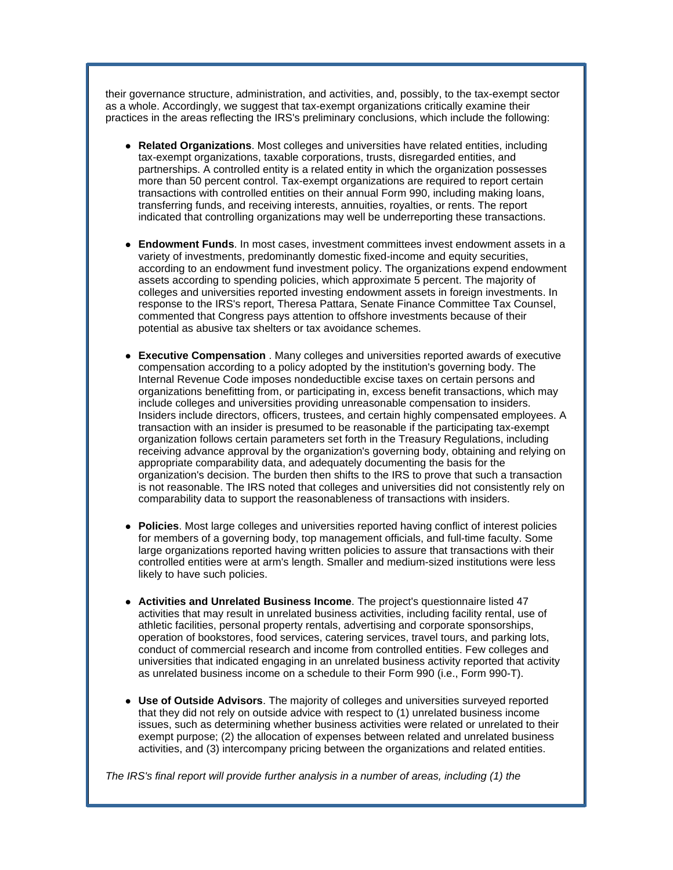their governance structure, administration, and activities, and, possibly, to the tax-exempt sector as a whole. Accordingly, we suggest that tax-exempt organizations critically examine their practices in the areas reflecting the IRS's preliminary conclusions, which include the following:

- **Related Organizations**. Most colleges and universities have related entities, including tax-exempt organizations, taxable corporations, trusts, disregarded entities, and partnerships. A controlled entity is a related entity in which the organization possesses more than 50 percent control. Tax-exempt organizations are required to report certain transactions with controlled entities on their annual Form 990, including making loans, transferring funds, and receiving interests, annuities, royalties, or rents. The report indicated that controlling organizations may well be underreporting these transactions.
- **Endowment Funds**. In most cases, investment committees invest endowment assets in a variety of investments, predominantly domestic fixed-income and equity securities, according to an endowment fund investment policy. The organizations expend endowment assets according to spending policies, which approximate 5 percent. The majority of colleges and universities reported investing endowment assets in foreign investments. In response to the IRS's report, Theresa Pattara, Senate Finance Committee Tax Counsel, commented that Congress pays attention to offshore investments because of their potential as abusive tax shelters or tax avoidance schemes.
- **Executive Compensation** . Many colleges and universities reported awards of executive compensation according to a policy adopted by the institution's governing body. The Internal Revenue Code imposes nondeductible excise taxes on certain persons and organizations benefitting from, or participating in, excess benefit transactions, which may include colleges and universities providing unreasonable compensation to insiders. Insiders include directors, officers, trustees, and certain highly compensated employees. A transaction with an insider is presumed to be reasonable if the participating tax-exempt organization follows certain parameters set forth in the Treasury Regulations, including receiving advance approval by the organization's governing body, obtaining and relying on appropriate comparability data, and adequately documenting the basis for the organization's decision. The burden then shifts to the IRS to prove that such a transaction is not reasonable. The IRS noted that colleges and universities did not consistently rely on comparability data to support the reasonableness of transactions with insiders.
- **Policies**. Most large colleges and universities reported having conflict of interest policies for members of a governing body, top management officials, and full-time faculty. Some large organizations reported having written policies to assure that transactions with their controlled entities were at arm's length. Smaller and medium-sized institutions were less likely to have such policies.
- **Activities and Unrelated Business Income**. The project's questionnaire listed 47 activities that may result in unrelated business activities, including facility rental, use of athletic facilities, personal property rentals, advertising and corporate sponsorships, operation of bookstores, food services, catering services, travel tours, and parking lots, conduct of commercial research and income from controlled entities. Few colleges and universities that indicated engaging in an unrelated business activity reported that activity as unrelated business income on a schedule to their Form 990 (i.e., Form 990-T).
- **Use of Outside Advisors**. The majority of colleges and universities surveyed reported that they did not rely on outside advice with respect to (1) unrelated business income issues, such as determining whether business activities were related or unrelated to their exempt purpose; (2) the allocation of expenses between related and unrelated business activities, and (3) intercompany pricing between the organizations and related entities.

*The IRS's final report will provide further analysis in a number of areas, including (1) the*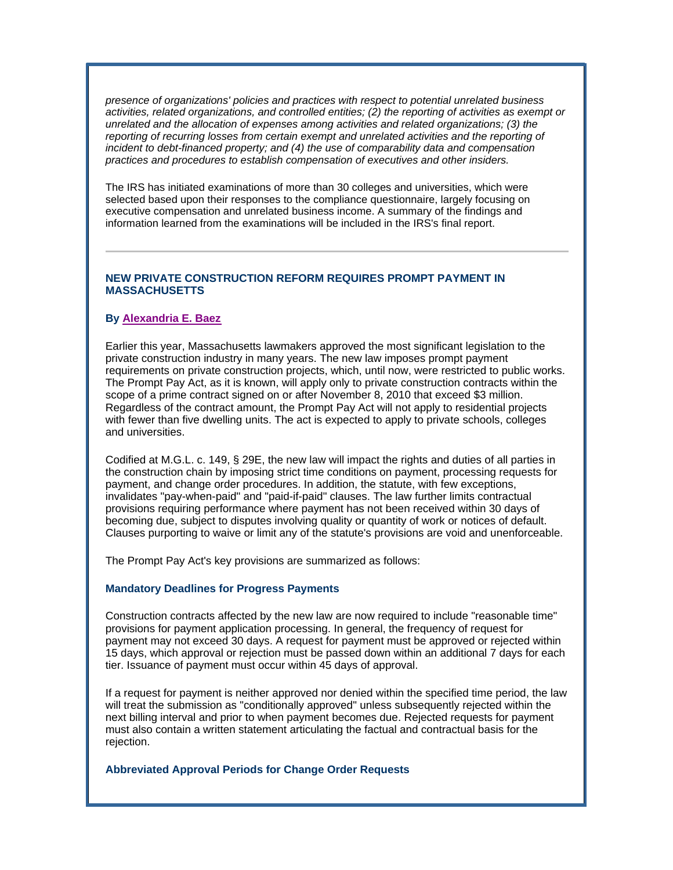*presence of organizations' policies and practices with respect to potential unrelated business activities, related organizations, and controlled entities; (2) the reporting of activities as exempt or unrelated and the allocation of expenses among activities and related organizations; (3) the reporting of recurring losses from certain exempt and unrelated activities and the reporting of incident to debt-financed property; and (4) the use of comparability data and compensation practices and procedures to establish compensation of executives and other insiders.*

The IRS has initiated examinations of more than 30 colleges and universities, which were selected based upon their responses to the compliance questionnaire, largely focusing on executive compensation and unrelated business income. A summary of the findings and information learned from the examinations will be included in the IRS's final report.

## **NEW PRIVATE CONSTRUCTION REFORM REQUIRES PROMPT PAYMENT IN MASSACHUSETTS**

## **By Alexandria E. Baez**

Earlier this year, Massachusetts lawmakers approved the most significant legislation to the private construction industry in many years. The new law imposes prompt payment requirements on private construction projects, which, until now, were restricted to public works. The Prompt Pay Act, as it is known, will apply only to private construction contracts within the scope of a prime contract signed on or after November 8, 2010 that exceed \$3 million. Regardless of the contract amount, the Prompt Pay Act will not apply to residential projects with fewer than five dwelling units. The act is expected to apply to private schools, colleges and universities.

Codified at M.G.L. c. 149, § 29E, the new law will impact the rights and duties of all parties in the construction chain by imposing strict time conditions on payment, processing requests for payment, and change order procedures. In addition, the statute, with few exceptions, invalidates "pay-when-paid" and "paid-if-paid" clauses. The law further limits contractual provisions requiring performance where payment has not been received within 30 days of becoming due, subject to disputes involving quality or quantity of work or notices of default. Clauses purporting to waive or limit any of the statute's provisions are void and unenforceable.

The Prompt Pay Act's key provisions are summarized as follows:

### **Mandatory Deadlines for Progress Payments**

Construction contracts affected by the new law are now required to include "reasonable time" provisions for payment application processing. In general, the frequency of request for payment may not exceed 30 days. A request for payment must be approved or rejected within 15 days, which approval or rejection must be passed down within an additional 7 days for each tier. Issuance of payment must occur within 45 days of approval.

If a request for payment is neither approved nor denied within the specified time period, the law will treat the submission as "conditionally approved" unless subsequently rejected within the next billing interval and prior to when payment becomes due. Rejected requests for payment must also contain a written statement articulating the factual and contractual basis for the rejection.

## **Abbreviated Approval Periods for Change Order Requests**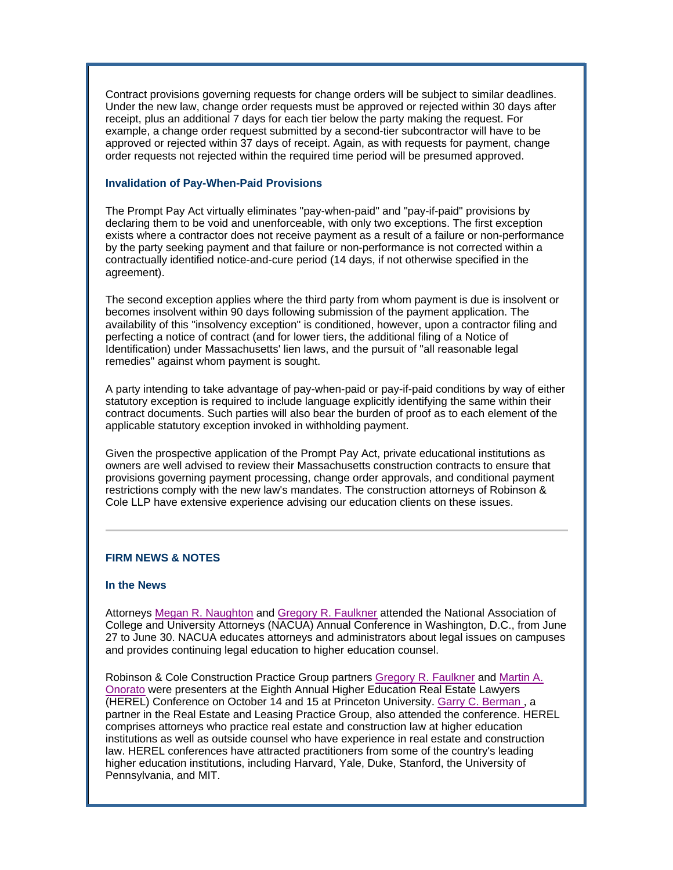Contract provisions governing requests for change orders will be subject to similar deadlines. Under the new law, change order requests must be approved or rejected within 30 days after receipt, plus an additional 7 days for each tier below the party making the request. For example, a change order request submitted by a second-tier subcontractor will have to be approved or rejected within 37 days of receipt. Again, as with requests for payment, change order requests not rejected within the required time period will be presumed approved.

### **Invalidation of Pay-When-Paid Provisions**

The Prompt Pay Act virtually eliminates "pay-when-paid" and "pay-if-paid" provisions by declaring them to be void and unenforceable, with only two exceptions. The first exception exists where a contractor does not receive payment as a result of a failure or non-performance by the party seeking payment and that failure or non-performance is not corrected within a contractually identified notice-and-cure period (14 days, if not otherwise specified in the agreement).

The second exception applies where the third party from whom payment is due is insolvent or becomes insolvent within 90 days following submission of the payment application. The availability of this "insolvency exception" is conditioned, however, upon a contractor filing and perfecting a notice of contract (and for lower tiers, the additional filing of a Notice of Identification) under Massachusetts' lien laws, and the pursuit of "all reasonable legal remedies" against whom payment is sought.

A party intending to take advantage of pay-when-paid or pay-if-paid conditions by way of either statutory exception is required to include language explicitly identifying the same within their contract documents. Such parties will also bear the burden of proof as to each element of the applicable statutory exception invoked in withholding payment.

Given the prospective application of the Prompt Pay Act, private educational institutions as owners are well advised to review their Massachusetts construction contracts to ensure that provisions governing payment processing, change order approvals, and conditional payment restrictions comply with the new law's mandates. The construction attorneys of Robinson & Cole LLP have extensive experience advising our education clients on these issues.

## **FIRM NEWS & NOTES**

## **In the News**

Attorneys Megan R. Naughton and Gregory R. Faulkner attended the National Association of College and University Attorneys (NACUA) Annual Conference in Washington, D.C., from June 27 to June 30. NACUA educates attorneys and administrators about legal issues on campuses and provides continuing legal education to higher education counsel.

Robinson & Cole Construction Practice Group partners Gregory R. Faulkner and Martin A. Onorato were presenters at the Eighth Annual Higher Education Real Estate Lawyers (HEREL) Conference on October 14 and 15 at Princeton University. Garry C. Berman , a partner in the Real Estate and Leasing Practice Group, also attended the conference. HEREL comprises attorneys who practice real estate and construction law at higher education institutions as well as outside counsel who have experience in real estate and construction law. HEREL conferences have attracted practitioners from some of the country's leading higher education institutions, including Harvard, Yale, Duke, Stanford, the University of Pennsylvania, and MIT.